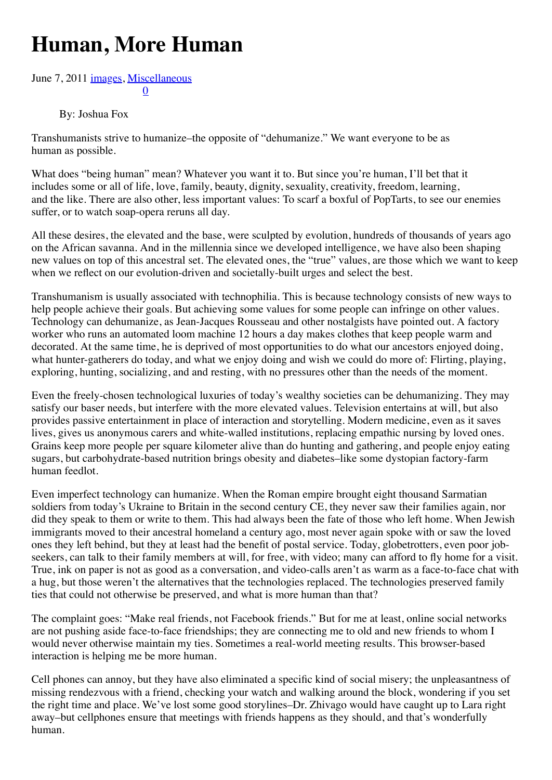## **Human, More Human**

## [0](http://hplusmagazine.com/2011/06/07/human-more-human/#) [June 7](http://hplusmagazine.com/2011/06/07/human-more-human/#)[, 2](http://www.addthis.com/bookmark.php?v=300&winname=addthis&pub=unknown&source=tbx-300&lng=en-US&s=google_plusone_share&url=file%3A%2F%2F%2FUsers%2Fjoshua%2FDocuments%2Fpdocs%2FMIRI%2FH%2BArticles%2Ffile%3A%2F%2F%2FUsers%2Fjoshua%2FDocuments%2Fpdocs%2FMIRI%2FH%2BArticles%2Fh%2B%2520Magazine%2520%2520%2520Human%2C%2520More%2520Human%2520-%2520h%2B%2520Magazine_files%2Fh%2B%2520Magazine%2520%2520%2520Human%2C%2520More%2520Human%2520-%2520h%2B%2520Magazine.html&title=h%2B%20Magazine%20%7C%20Human%2C%20More%20Human%20-%20h%2B%20Magazine&ate=AT-unknown/-/-/5dc3b7b2ec264024/2&frommenu=1&uid=5dc3b7b27b5a8bba&ct=1&tt=0&captcha_provider=nucaptcha)[011](http://www.addthis.com/bookmark.php?v=300&winname=addthis&pub=unknown&source=tbx-300&lng=en-US&s=linkedin&url=file%3A%2F%2F%2FUsers%2Fjoshua%2FDocuments%2Fpdocs%2FMIRI%2FH%2BArticles%2Ffile%3A%2F%2F%2FUsers%2Fjoshua%2FDocuments%2Fpdocs%2FMIRI%2FH%2BArticles%2Fh%2B%2520Magazine%2520%2520%2520Human%2C%2520More%2520Human%2520-%2520h%2B%2520Magazine_files%2Fh%2B%2520Magazine%2520%2520%2520Human%2C%2520More%2520Human%2520-%2520h%2B%2520Magazine.html&title=h%2B%20Magazine%20%7C%20Human%2C%20More%20Human%20-%20h%2B%20Magazine&ate=AT-unknown/-/-/5dc3b7b2ec264024/3&frommenu=1&uid=5dc3b7b26c2f48ba&ct=1&tt=0&captcha_provider=nucaptcha) [images,](http://hplusmagazine.com/category/images/) [Miscellaneous](http://hplusmagazine.com/category/miscellaneous/)

## By: Joshua Fox

Transhumanists strive to humanize–the opposite of "dehumanize." We want everyone to be as human as possible.

What does "being human" mean? Whatever you want it to. But since you're human, I'll bet that it includes some or all of life, love, family, beauty, dignity, sexuality, creativity, freedom, learning, and the like. There are also other, less important values: To scarf a boxful of PopTarts, to see our enemies suffer, or to watch soap-opera reruns all day.

All these desires, the elevated and the base, were sculpted by evolution, hundreds of thousands of years ago on the African savanna. And in the millennia since we developed intelligence, we have also been shaping new values on top of this ancestral set. The elevated ones, the "true" values, are those which we want to keep when we reflect on our evolution-driven and societally-built urges and select the best.

Transhumanism is usually associated with technophilia. This is because technology consists of new ways to help people achieve their goals. But achieving some values for some people can infringe on other values. Technology can dehumanize, as Jean-Jacques Rousseau and other nostalgists have pointed out. A factory worker who runs an automated loom machine 12 hours a day makes clothes that keep people warm and decorated. At the same time, he is deprived of most opportunities to do what our ancestors enjoyed doing, what hunter-gatherers do today, and what we enjoy doing and wish we could do more of: Flirting, playing, exploring, hunting, socializing, and and resting, with no pressures other than the needs of the moment.

Even the freely-chosen technological luxuries of today's wealthy societies can be dehumanizing. They may satisfy our baser needs, but interfere with the more elevated values. Television entertains at will, but also provides passive entertainment in place of interaction and storytelling. Modern medicine, even as it saves lives, gives us anonymous carers and white-walled institutions, replacing empathic nursing by loved ones. Grains keep more people per square kilometer alive than do hunting and gathering, and people enjoy eating sugars, but carbohydrate-based nutrition brings obesity and diabetes–like some dystopian factory-farm human feedlot.

Even imperfect technology can humanize. When the Roman empire brought eight thousand Sarmatian soldiers from today's Ukraine to Britain in the second century CE, they never saw their families again, nor did they speak to them or write to them. This had always been the fate of those who left home. When Jewish immigrants moved to their ancestral homeland a century ago, most never again spoke with or saw the loved ones they left behind, but they at least had the benefit of postal service. Today, globetrotters, even poor jobseekers, can talk to their family members at will, for free, with video; many can afford to fly home for a visit. True, ink on paper is not as good as a conversation, and video-calls aren't as warm as a face-to-face chat with a hug, but those weren't the alternatives that the technologies replaced. The technologies preserved family ties that could not otherwise be preserved, and what is more human than that?

The complaint goes: "Make real friends, not Facebook friends." But for me at least, online social networks are not pushing aside face-to-face friendships; they are connecting me to old and new friends to whom I would never otherwise maintain my ties. Sometimes a real-world meeting results. This browser-based interaction is helping me be more human.

Cell phones can annoy, but they have also eliminated a specific kind of social misery; the unpleasantness of missing rendezvous with a friend, checking your watch and walking around the block, wondering if you set the right time and place. We've lost some good storylines–Dr. Zhivago would have caught up to Lara right away–but cellphones ensure that meetings with friends happens as they should, and that's wonderfully human.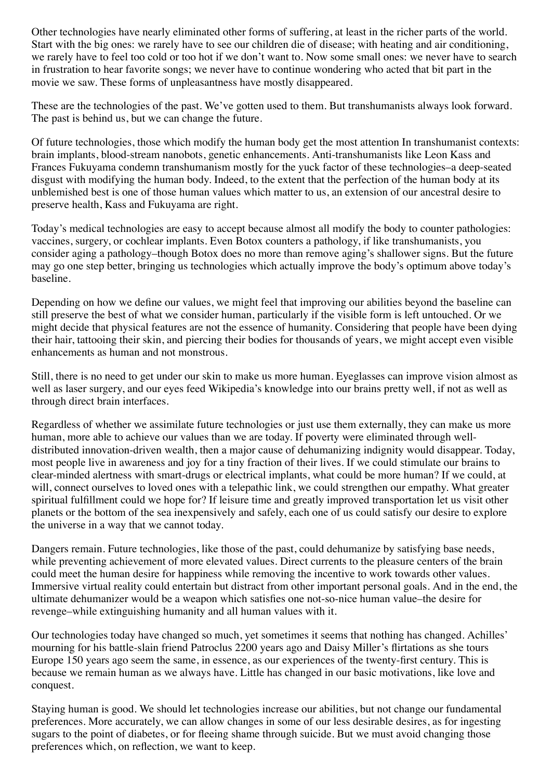Other technologies have nearly eliminated other forms of suffering, at least in the richer parts of the world. Start with the big ones: we rarely have to see our children die of disease; with heating and air conditioning, we rarely have to feel too cold or too hot if we don't want to. Now some small ones: we never have to search in frustration to hear favorite songs; we never have to continue wondering who acted that bit part in the movie we saw. These forms of unpleasantness have mostly disappeared.

These are the technologies of the past. We've gotten used to them. But transhumanists always look forward. The past is behind us, but we can change the future.

Of future technologies, those which modify the human body get the most attention In transhumanist contexts: brain implants, blood-stream nanobots, genetic enhancements. Anti-transhumanists like Leon Kass and Frances Fukuyama condemn transhumanism mostly for the yuck factor of these technologies–a deep-seated disgust with modifying the human body. Indeed, to the extent that the perfection of the human body at its unblemished best is one of those human values which matter to us, an extension of our ancestral desire to preserve health, Kass and Fukuyama are right.

Today's medical technologies are easy to accept because almost all modify the body to counter pathologies: vaccines, surgery, or cochlear implants. Even Botox counters a pathology, if like transhumanists, you consider aging a pathology–though Botox does no more than remove aging's shallower signs. But the future may go one step better, bringing us technologies which actually improve the body's optimum above today's baseline.

Depending on how we define our values, we might feel that improving our abilities beyond the baseline can still preserve the best of what we consider human, particularly if the visible form is left untouched. Or we might decide that physical features are not the essence of humanity. Considering that people have been dying their hair, tattooing their skin, and piercing their bodies for thousands of years, we might accept even visible enhancements as human and not monstrous.

Still, there is no need to get under our skin to make us more human. Eyeglasses can improve vision almost as well as laser surgery, and our eyes feed Wikipedia's knowledge into our brains pretty well, if not as well as through direct brain interfaces.

Regardless of whether we assimilate future technologies or just use them externally, they can make us more human, more able to achieve our values than we are today. If poverty were eliminated through welldistributed innovation-driven wealth, then a major cause of dehumanizing indignity would disappear. Today, most people live in awareness and joy for a tiny fraction of their lives. If we could stimulate our brains to clear-minded alertness with smart-drugs or electrical implants, what could be more human? If we could, at will, connect ourselves to loved ones with a telepathic link, we could strengthen our empathy. What greater spiritual fulfillment could we hope for? If leisure time and greatly improved transportation let us visit other planets or the bottom of the sea inexpensively and safely, each one of us could satisfy our desire to explore the universe in a way that we cannot today.

Dangers remain. Future technologies, like those of the past, could dehumanize by satisfying base needs, while preventing achievement of more elevated values. Direct currents to the pleasure centers of the brain could meet the human desire for happiness while removing the incentive to work towards other values. Immersive virtual reality could entertain but distract from other important personal goals. And in the end, the ultimate dehumanizer would be a weapon which satisfies one not-so-nice human value–the desire for revenge–while extinguishing humanity and all human values with it.

Our technologies today have changed so much, yet sometimes it seems that nothing has changed. Achilles' mourning for his battle-slain friend Patroclus 2200 years ago and Daisy Miller's flirtations as she tours Europe 150 years ago seem the same, in essence, as our experiences of the twenty-first century. This is because we remain human as we always have. Little has changed in our basic motivations, like love and conquest.

Staying human is good. We should let technologies increase our abilities, but not change our fundamental preferences. More accurately, we can allow changes in some of our less desirable desires, as for ingesting sugars to the point of diabetes, or for fleeing shame through suicide. But we must avoid changing those preferences which, on reflection, we want to keep.